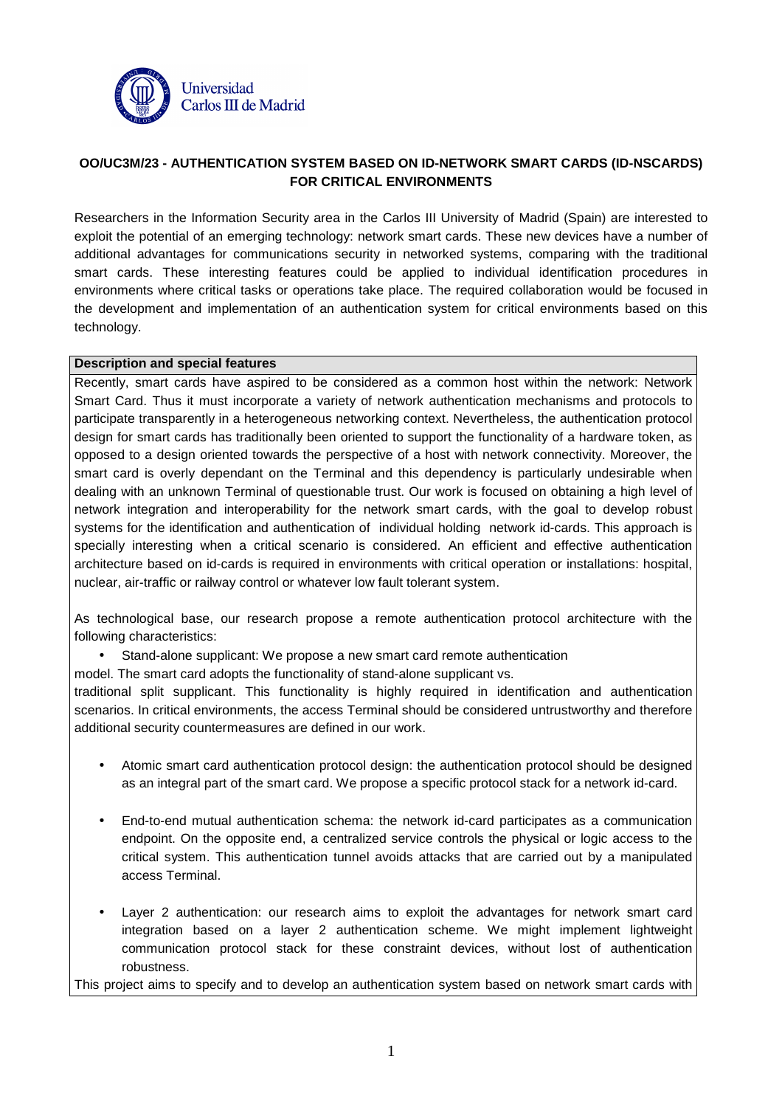

# **OO/UC3M/23 - AUTHENTICATION SYSTEM BASED ON ID-NETWORK SMART CARDS (ID-NSCARDS) FOR CRITICAL ENVIRONMENTS**

Researchers in the Information Security area in the Carlos III University of Madrid (Spain) are interested to exploit the potential of an emerging technology: network smart cards. These new devices have a number of additional advantages for communications security in networked systems, comparing with the traditional smart cards. These interesting features could be applied to individual identification procedures in environments where critical tasks or operations take place. The required collaboration would be focused in the development and implementation of an authentication system for critical environments based on this technology.

#### **Description and special features**

Recently, smart cards have aspired to be considered as a common host within the network: Network Smart Card. Thus it must incorporate a variety of network authentication mechanisms and protocols to participate transparently in a heterogeneous networking context. Nevertheless, the authentication protocol design for smart cards has traditionally been oriented to support the functionality of a hardware token, as opposed to a design oriented towards the perspective of a host with network connectivity. Moreover, the smart card is overly dependant on the Terminal and this dependency is particularly undesirable when dealing with an unknown Terminal of questionable trust. Our work is focused on obtaining a high level of network integration and interoperability for the network smart cards, with the goal to develop robust systems for the identification and authentication of individual holding network id-cards. This approach is specially interesting when a critical scenario is considered. An efficient and effective authentication architecture based on id-cards is required in environments with critical operation or installations: hospital, nuclear, air-traffic or railway control or whatever low fault tolerant system.

As technological base, our research propose a remote authentication protocol architecture with the following characteristics:

• Stand-alone supplicant: We propose a new smart card remote authentication

model. The smart card adopts the functionality of stand-alone supplicant vs.

traditional split supplicant. This functionality is highly required in identification and authentication scenarios. In critical environments, the access Terminal should be considered untrustworthy and therefore additional security countermeasures are defined in our work.

- Atomic smart card authentication protocol design: the authentication protocol should be designed as an integral part of the smart card. We propose a specific protocol stack for a network id-card.
- End-to-end mutual authentication schema: the network id-card participates as a communication endpoint. On the opposite end, a centralized service controls the physical or logic access to the critical system. This authentication tunnel avoids attacks that are carried out by a manipulated access Terminal.
- Layer 2 authentication: our research aims to exploit the advantages for network smart card integration based on a layer 2 authentication scheme. We might implement lightweight communication protocol stack for these constraint devices, without lost of authentication robustness.

This project aims to specify and to develop an authentication system based on network smart cards with